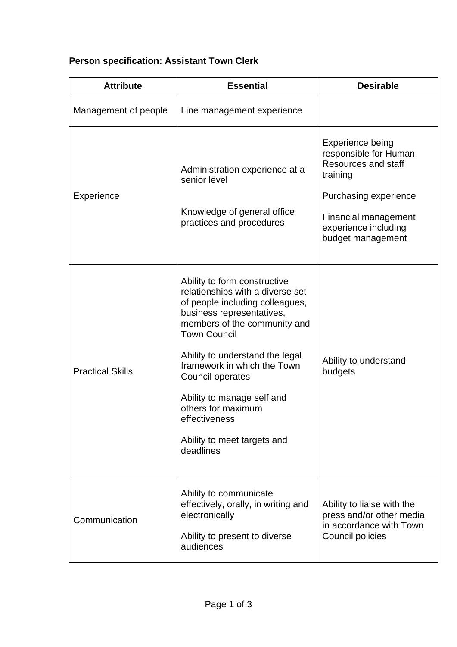## **Person specification: Assistant Town Clerk**

| <b>Attribute</b>        | <b>Essential</b>                                                                                                                                                                                                                                                                                                                                                                               | <b>Desirable</b>                                                                                                                                                           |
|-------------------------|------------------------------------------------------------------------------------------------------------------------------------------------------------------------------------------------------------------------------------------------------------------------------------------------------------------------------------------------------------------------------------------------|----------------------------------------------------------------------------------------------------------------------------------------------------------------------------|
| Management of people    | Line management experience                                                                                                                                                                                                                                                                                                                                                                     |                                                                                                                                                                            |
| Experience              | Administration experience at a<br>senior level<br>Knowledge of general office<br>practices and procedures                                                                                                                                                                                                                                                                                      | Experience being<br>responsible for Human<br>Resources and staff<br>training<br>Purchasing experience<br>Financial management<br>experience including<br>budget management |
| <b>Practical Skills</b> | Ability to form constructive<br>relationships with a diverse set<br>of people including colleagues,<br>business representatives,<br>members of the community and<br><b>Town Council</b><br>Ability to understand the legal<br>framework in which the Town<br>Council operates<br>Ability to manage self and<br>others for maximum<br>effectiveness<br>Ability to meet targets and<br>deadlines | Ability to understand<br>budgets                                                                                                                                           |
| Communication           | Ability to communicate<br>effectively, orally, in writing and<br>electronically<br>Ability to present to diverse<br>audiences                                                                                                                                                                                                                                                                  | Ability to liaise with the<br>press and/or other media<br>in accordance with Town<br>Council policies                                                                      |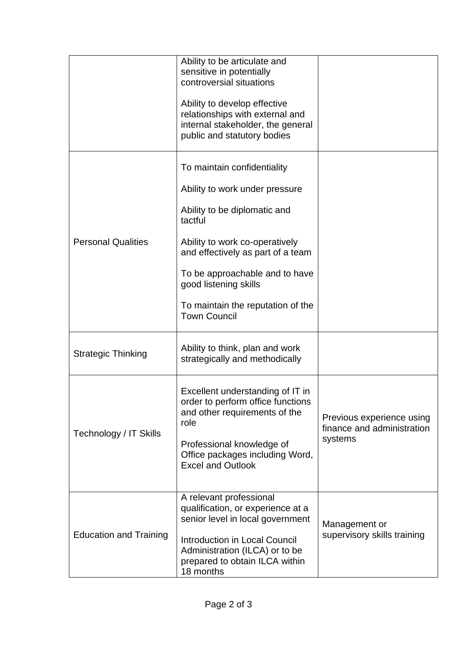|                               | Ability to be articulate and<br>sensitive in potentially<br>controversial situations<br>Ability to develop effective<br>relationships with external and<br>internal stakeholder, the general<br>public and statutory bodies                                                                            |                                                                    |
|-------------------------------|--------------------------------------------------------------------------------------------------------------------------------------------------------------------------------------------------------------------------------------------------------------------------------------------------------|--------------------------------------------------------------------|
| <b>Personal Qualities</b>     | To maintain confidentiality<br>Ability to work under pressure<br>Ability to be diplomatic and<br>tactful<br>Ability to work co-operatively<br>and effectively as part of a team<br>To be approachable and to have<br>good listening skills<br>To maintain the reputation of the<br><b>Town Council</b> |                                                                    |
| <b>Strategic Thinking</b>     | Ability to think, plan and work<br>strategically and methodically                                                                                                                                                                                                                                      |                                                                    |
| Technology / IT Skills        | Excellent understanding of IT in<br>order to perform office functions<br>and other requirements of the<br>role<br>Professional knowledge of<br>Office packages including Word,<br><b>Excel and Outlook</b>                                                                                             | Previous experience using<br>finance and administration<br>systems |
| <b>Education and Training</b> | A relevant professional<br>qualification, or experience at a<br>senior level in local government<br><b>Introduction in Local Council</b><br>Administration (ILCA) or to be<br>prepared to obtain ILCA within<br>18 months                                                                              | Management or<br>supervisory skills training                       |